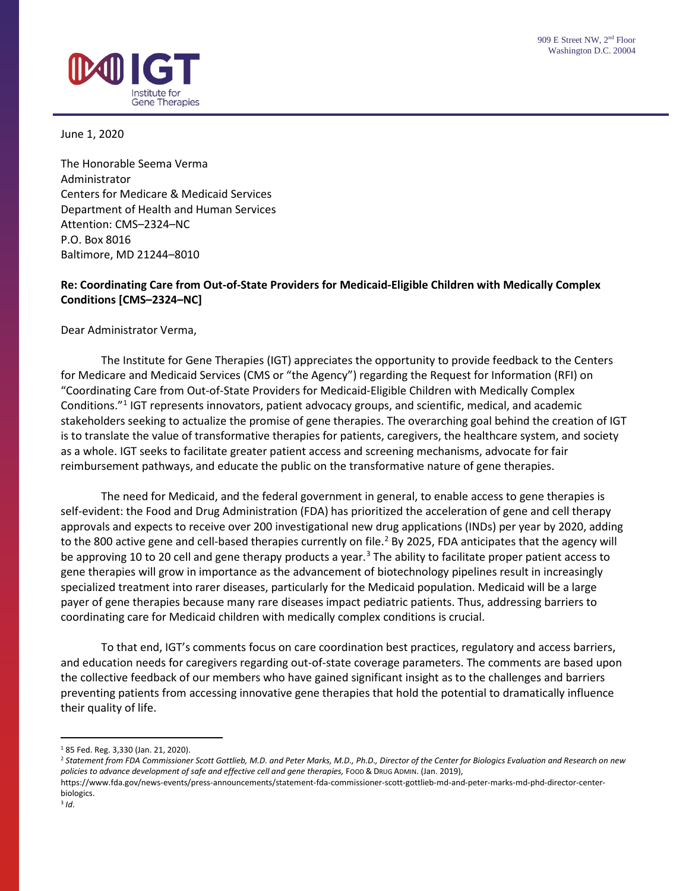

June 1, 2020

The Honorable Seema Verma Administrator Centers for Medicare & Medicaid Services Department of Health and Human Services Attention: CMS–2324–NC P.O. Box 8016 Baltimore, MD 21244–8010

# **Re: Coordinating Care from Out-of-State Providers for Medicaid-Eligible Children with Medically Complex Conditions [CMS–2324–NC]**

Dear Administrator Verma,

The Institute for Gene Therapies (IGT) appreciates the opportunity to provide feedback to the Centers for Medicare and Medicaid Services (CMS or "the Agency") regarding the Request for Information (RFI) on "Coordinating Care from Out-of-State Providers for Medicaid-Eligible Children with Medically Complex Conditions."1 IGT represents innovators, patient advocacy groups, and scientific, medical, and academic stakeholders seeking to actualize the promise of gene therapies. The overarching goal behind the creation of IGT is to translate the value of transformative therapies for patients, caregivers, the healthcare system, and society as a whole. IGT seeks to facilitate greater patient access and screening mechanisms, advocate for fair reimbursement pathways, and educate the public on the transformative nature of gene therapies.

The need for Medicaid, and the federal government in general, to enable access to gene therapies is self-evident: the Food and Drug Administration (FDA) has prioritized the acceleration of gene and cell therapy approvals and expects to receive over 200 investigational new drug applications (INDs) per year by 2020, adding to the 800 active gene and cell-based therapies currently on file.<sup>2</sup> By 2025, FDA anticipates that the agency will be approving 10 to 20 cell and gene therapy products a year.<sup>3</sup> The ability to facilitate proper patient access to gene therapies will grow in importance as the advancement of biotechnology pipelines result in increasingly specialized treatment into rarer diseases, particularly for the Medicaid population. Medicaid will be a large payer of gene therapies because many rare diseases impact pediatric patients. Thus, addressing barriers to coordinating care for Medicaid children with medically complex conditions is crucial.

To that end, IGT's comments focus on care coordination best practices, regulatory and access barriers, and education needs for caregivers regarding out-of-state coverage parameters. The comments are based upon the collective feedback of our members who have gained significant insight as to the challenges and barriers preventing patients from accessing innovative gene therapies that hold the potential to dramatically influence their quality of life.

 <sup>1</sup> 85 Fed. Reg. 3,330 (Jan. 21, 2020).

<sup>2</sup> *Statement from FDA Commissioner Scott Gottlieb, M.D. and Peter Marks, M.D., Ph.D., Director of the Center for Biologics Evaluation and Research on new*  policies to advance development of safe and effective cell and gene therapies, FOOD & DRUG ADMIN. (Jan. 2019),

https://www.fda.gov/news-events/press-announcements/statement-fda-commissioner-scott-gottlieb-md-and-peter-marks-md-phd-director-centerbiologics.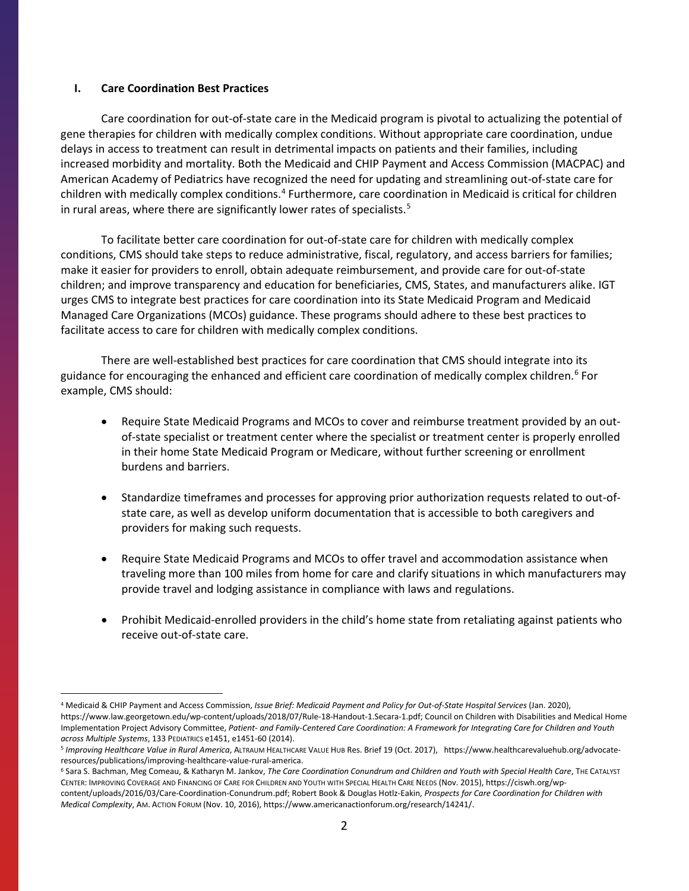#### **I. Care Coordination Best Practices**

Care coordination for out-of-state care in the Medicaid program is pivotal to actualizing the potential of gene therapies for children with medically complex conditions. Without appropriate care coordination, undue delays in access to treatment can result in detrimental impacts on patients and their families, including increased morbidity and mortality. Both the Medicaid and CHIP Payment and Access Commission (MACPAC) and American Academy of Pediatrics have recognized the need for updating and streamlining out-of-state care for children with medically complex conditions.<sup>4</sup> Furthermore, care coordination in Medicaid is critical for children in rural areas, where there are significantly lower rates of specialists.<sup>5</sup>

To facilitate better care coordination for out-of-state care for children with medically complex conditions, CMS should take steps to reduce administrative, fiscal, regulatory, and access barriers for families; make it easier for providers to enroll, obtain adequate reimbursement, and provide care for out-of-state children; and improve transparency and education for beneficiaries, CMS, States, and manufacturers alike. IGT urges CMS to integrate best practices for care coordination into its State Medicaid Program and Medicaid Managed Care Organizations (MCOs) guidance. These programs should adhere to these best practices to facilitate access to care for children with medically complex conditions.

There are well-established best practices for care coordination that CMS should integrate into its guidance for encouraging the enhanced and efficient care coordination of medically complex children.<sup>6</sup> For example, CMS should:

- Require State Medicaid Programs and MCOs to cover and reimburse treatment provided by an outof-state specialist or treatment center where the specialist or treatment center is properly enrolled in their home State Medicaid Program or Medicare, without further screening or enrollment burdens and barriers.
- Standardize timeframes and processes for approving prior authorization requests related to out-ofstate care, as well as develop uniform documentation that is accessible to both caregivers and providers for making such requests.
- Require State Medicaid Programs and MCOs to offer travel and accommodation assistance when traveling more than 100 miles from home for care and clarify situations in which manufacturers may provide travel and lodging assistance in compliance with laws and regulations.
- Prohibit Medicaid-enrolled providers in the child's home state from retaliating against patients who receive out-of-state care.

 <sup>4</sup> Medicaid & CHIP Payment and Access Commission, *Issue Brief: Medicaid Payment and Policy for Out-of-State Hospital Services* (Jan. 2020), https://www.law.georgetown.edu/wp-content/uploads/2018/07/Rule-18-Handout-1.Secara-1.pdf; Council on Children with Disabilities and Medical Home Implementation Project Advisory Committee, *Patient- and Family-Centered Care Coordination: A Framework for Integrating Care for Children and Youth*  across Multiple Systems, 133 PEDIATRICS e1451, e1451-60 (2014).<br><sup>5</sup> Improving Healthcare Value in Rural America, ALTRAUM HEALTHCARE VALUE HUB Res. Brief 19 (Oct. 2017), https://www.healthcarevaluehub.org/advocate-

resources/publications/improving-healthcare-value-rural-america.

<sup>6</sup> Sara S. Bachman, Meg Comeau, & Katharyn M. Jankov, *The Care Coordination Conundrum and Children and Youth with Special Health Care*, THE CATALYST CENTER: IMPROVING COVERAGE AND FINANCING OF CARE FOR CHILDREN AND YOUTH WITH SPECIAL HEALTH CARE NEEDS (Nov. 2015), https://ciswh.org/wpcontent/uploads/2016/03/Care-Coordination-Conundrum.pdf; Robert Book & Douglas Hotlz-Eakin, *Prospects for Care Coordination for Children with Medical Complexity*, AM. ACTION FORUM (Nov. 10, 2016), https://www.americanactionforum.org/research/14241/.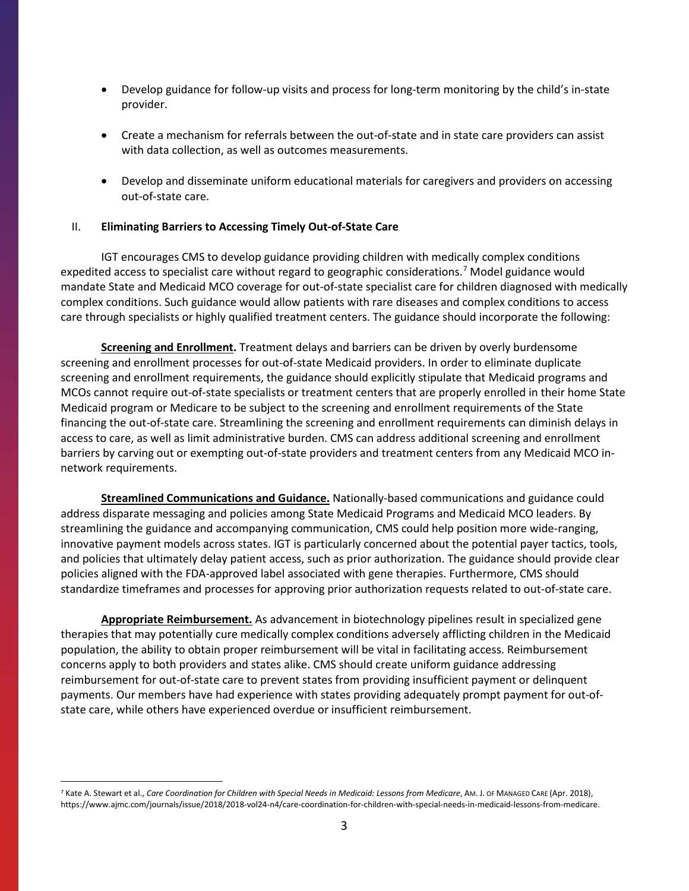- Develop guidance for follow-up visits and process for long-term monitoring by the child's in-state provider.
- Create a mechanism for referrals between the out-of-state and in state care providers can assist with data collection, as well as outcomes measurements.
- Develop and disseminate uniform educational materials for caregivers and providers on accessing out-of-state care.

### II. **Eliminating Barriers to Accessing Timely Out-of-State Care**

IGT encourages CMS to develop guidance providing children with medically complex conditions expedited access to specialist care without regard to geographic considerations.<sup>7</sup> Model guidance would mandate State and Medicaid MCO coverage for out-of-state specialist care for children diagnosed with medically complex conditions. Such guidance would allow patients with rare diseases and complex conditions to access care through specialists or highly qualified treatment centers. The guidance should incorporate the following:

**Screening and Enrollment.** Treatment delays and barriers can be driven by overly burdensome screening and enrollment processes for out-of-state Medicaid providers. In order to eliminate duplicate screening and enrollment requirements, the guidance should explicitly stipulate that Medicaid programs and MCOs cannot require out-of-state specialists or treatment centers that are properly enrolled in their home State Medicaid program or Medicare to be subject to the screening and enrollment requirements of the State financing the out-of-state care. Streamlining the screening and enrollment requirements can diminish delays in access to care, as well as limit administrative burden. CMS can address additional screening and enrollment barriers by carving out or exempting out-of-state providers and treatment centers from any Medicaid MCO innetwork requirements.

**Streamlined Communications and Guidance.** Nationally-based communications and guidance could address disparate messaging and policies among State Medicaid Programs and Medicaid MCO leaders. By streamlining the guidance and accompanying communication, CMS could help position more wide-ranging, innovative payment models across states. IGT is particularly concerned about the potential payer tactics, tools, and policies that ultimately delay patient access, such as prior authorization. The guidance should provide clear policies aligned with the FDA-approved label associated with gene therapies. Furthermore, CMS should standardize timeframes and processes for approving prior authorization requests related to out-of-state care.

**Appropriate Reimbursement.** As advancement in biotechnology pipelines result in specialized gene therapies that may potentially cure medically complex conditions adversely afflicting children in the Medicaid population, the ability to obtain proper reimbursement will be vital in facilitating access. Reimbursement concerns apply to both providers and states alike. CMS should create uniform guidance addressing reimbursement for out-of-state care to prevent states from providing insufficient payment or delinquent payments. Our members have had experience with states providing adequately prompt payment for out-ofstate care, while others have experienced overdue or insufficient reimbursement.

<sup>&</sup>lt;sup>7</sup> Kate A. Stewart et al., *Care Coordination for Children with Special Needs in Medicaid: Lessons from Medicare*, AM. J. of MANAGED CARE (Apr. 2018), https://www.ajmc.com/journals/issue/2018/2018-vol24-n4/care-coordination-for-children-with-special-needs-in-medicaid-lessons-from-medicare.